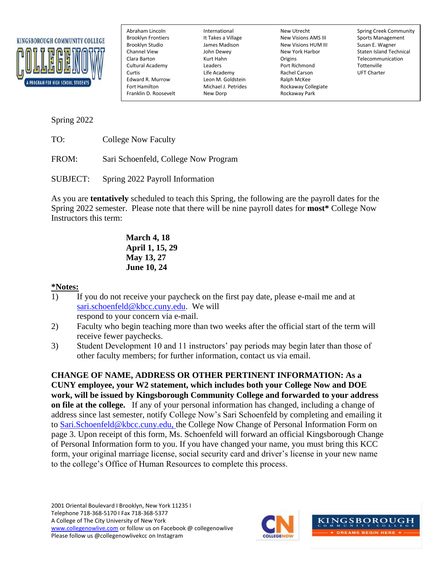

Cultural Academy **Leaders** Edward R. Murrow Leon M. Goldstein Fort Hamilton Ralph McKee<br>Fort Hamilton Fort Michael J. Petrides Rockaway Co Franklin D. Roosevelt New Dorp New Dorp Rockaway Park

Brooklyn Frontiers The It Takes a Village New Visions AMS III Sports Management Brooklyn Studio James Madison New Visions HUM III Susan E. Wagner Origins Telecommunication<br>
Port Richmond Tottenville Curtis Life Academy Rachel Carson UFT Charter Fort Hamilton Michael J. Petrides Rockaway Collegiate

Abraham Lincoln International New Utrecht Spring Creek Community Channel View John Dewey New York Harbor Staten Island Technical

Spring 2022

TO: College Now Faculty

FROM: Sari Schoenfeld, College Now Program

SUBJECT: Spring 2022 Payroll Information

As you are **tentatively** scheduled to teach this Spring, the following are the payroll dates for the Spring 2022 semester. Please note that there will be nine payroll dates for **most\*** College Now Instructors this term:

> **March 4, 18 April 1, 15, 29 May 13, 27 June 10, 24**

## **\*Notes:**

1) If you do not receive your paycheck on the first pay date, please e-mail me and at [sari.schoenfeld@kbcc.cuny.edu.](mailto:sari.schoenfeld@kbcc.cuny.edu) We will

respond to your concern via e-mail.

- 2) Faculty who begin teaching more than two weeks after the official start of the term will receive fewer paychecks.
- 3) Student Development 10 and 11 instructors' pay periods may begin later than those of other faculty members; for further information, contact us via email.

**CHANGE OF NAME, ADDRESS OR OTHER PERTINENT INFORMATION: As a CUNY employee, your W2 statement, which includes both your College Now and DOE work, will be issued by Kingsborough Community College and forwarded to your address on file at the college.** If any of your personal information has changed, including a change of address since last semester, notify College Now's Sari Schoenfeld by completing and emailing it to [Sari.Schoenfeld@kbcc.cuny.edu,](mailto:Sari.Schoenfeld@kbcc.cuny.edu) the College Now Change of Personal Information Form on page 3. Upon receipt of this form, Ms. Schoenfeld will forward an official Kingsborough Change of Personal Information form to you. If you have changed your name, you must bring this KCC form, your original marriage license, social security card and driver's license in your new name to the college's Office of Human Resources to complete this process.

2001 Oriental Boulevard I Brooklyn, New York 11235 I Telephone 718-368-5170 I Fax 718-368-5377 A College of The City University of New York [www.collegenowlive.com](http://www.collegenowlive.com/) or follow us on Facebook @ collegenowlive Please follow us @collegenowlivekcc on Instagram



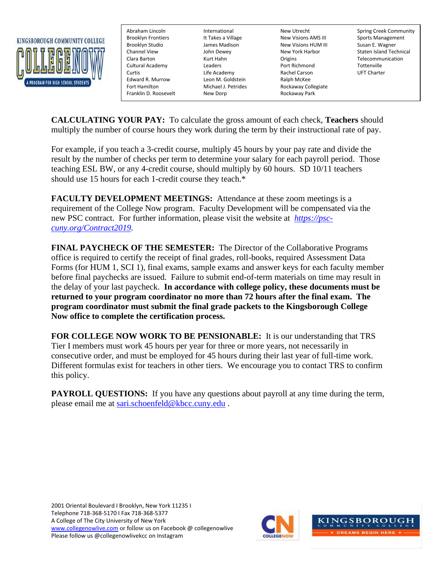

Cultural Academy Edward R. Murrow Leon M. Goldstein Ford Ralph McKee<br>Fort Hamilton Ford Richael J. Petrides Rockaway Co Franklin D. Roosevelt New Dorp Rockaway Park

Brooklyn Frontiers The It Takes a Village New Visions AMS III Sports Management Brooklyn Studio James Madison New Visions HUM III Susan E. Wagner Kurt Hahn **Clara Barton Clara Barton Clara Barton Telecommunication**<br>
Leaders **Telecommunication**<br>
Port Richmond Tottenville Curtis Life Academy Rachel Carson UFT Charter Fort Hamilton Michael J. Petrides Rockaway Collegiate

Abraham Lincoln International New Utrecht Spring Creek Community Channel View John Dewey New York Harbor Staten Island Technical

**CALCULATING YOUR PAY:** To calculate the gross amount of each check, **Teachers** should multiply the number of course hours they work during the term by their instructional rate of pay.

For example, if you teach a 3-credit course, multiply 45 hours by your pay rate and divide the result by the number of checks per term to determine your salary for each payroll period. Those teaching ESL BW, or any 4-credit course, should multiply by 60 hours. SD 10/11 teachers should use 15 hours for each 1-credit course they teach.\*

**FACULTY DEVELOPMENT MEETINGS:** Attendance at these zoom meetings is a requirement of the College Now program. Faculty Development will be compensated via the new PSC contract. For further information, please visit the website at *[https://psc](https://psc-cuny.org/Contract2019)[cuny.org/Contract2019.](https://psc-cuny.org/Contract2019)* 

**FINAL PAYCHECK OF THE SEMESTER:** The Director of the Collaborative Programs office is required to certify the receipt of final grades, roll-books, required Assessment Data Forms (for HUM 1, SCI 1), final exams, sample exams and answer keys for each faculty member before final paychecks are issued. Failure to submit end-of-term materials on time may result in the delay of your last paycheck. **In accordance with college policy, these documents must be returned to your program coordinator no more than 72 hours after the final exam. The program coordinator must submit the final grade packets to the Kingsborough College Now office to complete the certification process.**

**FOR COLLEGE NOW WORK TO BE PENSIONABLE:** It is our understanding that TRS Tier I members must work 45 hours per year for three or more years, not necessarily in consecutive order, and must be employed for 45 hours during their last year of full-time work. Different formulas exist for teachers in other tiers. We encourage you to contact TRS to confirm this policy.

**PAYROLL QUESTIONS:** If you have any questions about payroll at any time during the term, please email me at [sari.schoenfeld@kbcc.cuny.edu](mailto:sari.schoenfeld@kbcc.cuny.edu) .